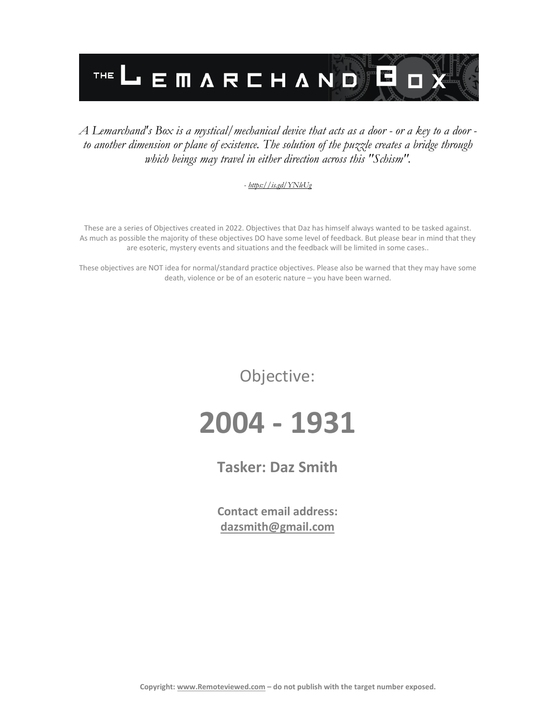

#### *A Lemarchand's Box is a mystical/mechanical device that acts as a door - or a key to a door to another dimension or plane of existence. The solution of the puzzle creates a bridge through which beings may travel in either direction across this "Schism".*

#### *- <https://is.gd/YNleUg>*

These are a series of Objectives created in 2022. Objectives that Daz has himself always wanted to be tasked against. As much as possible the majority of these objectives DO have some level of feedback. But please bear in mind that they are esoteric, mystery events and situations and the feedback will be limited in some cases..

These objectives are NOT idea for normal/standard practice objectives. Please also be warned that they may have some death, violence or be of an esoteric nature – you have been warned.

Objective:

# **2004 - 1931**

**Tasker: Daz Smith**

**Contact email address: [dazsmith@gmail.com](mailto:dazsmith@gmail.com)**